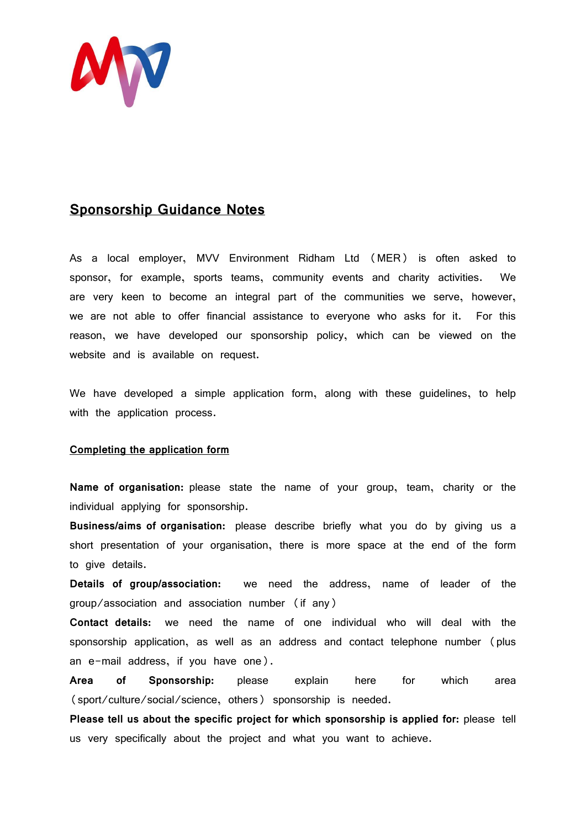

## **Sponsorship Guidance Notes**

As a local employer, MVV Environment Ridham Ltd (MER) is often asked to sponsor, for example, sports teams, community events and charity activities. We are very keen to become an integral part of the communities we serve, however, we are not able to offer financial assistance to everyone who asks for it. For this reason, we have developed our sponsorship policy, which can be viewed on the website and is available on request.

We have developed a simple application form, along with these guidelines, to help with the application process.

## **Completing the application form**

**Name of organisation:** please state the name of your group, team, charity or the individual applying for sponsorship.

**Business/aims of organisation:** please describe briefly what you do by giving us a short presentation of your organisation, there is more space at the end of the form to give details.

**Details of group/association:** we need the address, name of leader of the group/association and association number (if any)

**Contact details:** we need the name of one individual who will deal with the sponsorship application, as well as an address and contact telephone number (plus an e-mail address, if you have one).

**Area of Sponsorship:** please explain here for which area (sport/culture/social/science, others) sponsorship is needed.

**Please tell us about the specific project for which sponsorship is applied for:** please tell us very specifically about the project and what you want to achieve.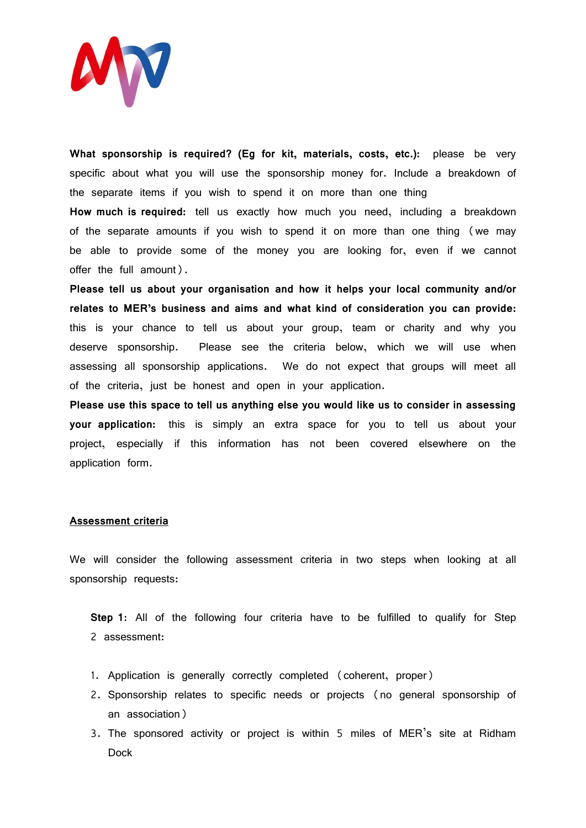

**What sponsorship is required? (Eg for kit, materials, costs, etc.):** please be very specific about what you will use the sponsorship money for. Include a breakdown of the separate items if you wish to spend it on more than one thing

**How much is required:** tell us exactly how much you need, including a breakdown of the separate amounts if you wish to spend it on more than one thing (we may be able to provide some of the money you are looking for, even if we cannot offer the full amount).

**Please tell us about your organisation and how it helps your local community and/or relates to MER's business and aims and what kind of consideration you can provide:**  this is your chance to tell us about your group, team or charity and why you deserve sponsorship. Please see the criteria below, which we will use when assessing all sponsorship applications. We do not expect that groups will meet all of the criteria, just be honest and open in your application.

**Please use this space to tell us anything else you would like us to consider in assessing your application:** this is simply an extra space for you to tell us about your project, especially if this information has not been covered elsewhere on the application form.

## **Assessment criteria**

We will consider the following assessment criteria in two steps when looking at all sponsorship requests:

**Step 1**: All of the following four criteria have to be fulfilled to qualify for Step 2 assessment:

- 1. Application is generally correctly completed (coherent, proper)
- 2. Sponsorship relates to specific needs or projects (no general sponsorship of an association)
- 3. The sponsored activity or project is within 5 miles of MER's site at Ridham Dock